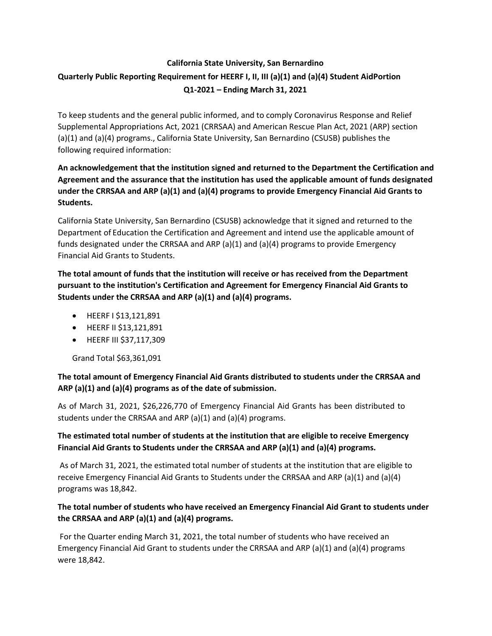# **California State University, San Bernardino Quarterly Public Reporting Requirement for HEERF I, II, III (a)(1) and (a)(4) Student AidPortion Q1-2021 – Ending March 31, 2021**

To keep students and the general public informed, and to comply Coronavirus Response and Relief Supplemental Appropriations Act, 2021 (CRRSAA) and American Rescue Plan Act, 2021 (ARP) section (a)(1) and (a)(4) programs., California State University, San Bernardino (CSUSB) publishes the following required information:

## **An acknowledgement that the institution signed and returned to the Department the Certification and Agreement and the assurance that the institution has used the applicable amount of funds designated under the CRRSAA and ARP (a)(1) and (a)(4) programs to provide Emergency Financial Aid Grants to Students.**

California State University, San Bernardino (CSUSB) acknowledge that it signed and returned to the Department of Education the Certification and Agreement and intend use the applicable amount of funds designated under the CRRSAA and ARP (a)(1) and (a)(4) programs to provide Emergency Financial Aid Grants to Students.

**The total amount of funds that the institution will receive or has received from the Department pursuant to the institution's Certification and Agreement for Emergency Financial Aid Grants to Students under the CRRSAA and ARP (a)(1) and (a)(4) programs.**

- HEERF I \$13,121,891
- HEERF II \$13,121,891
- HEERF III \$37,117,309

Grand Total \$63,361,091

### **The total amount of Emergency Financial Aid Grants distributed to students under the CRRSAA and ARP (a)(1) and (a)(4) programs as of the date of submission.**

As of March 31, 2021, \$26,226,770 of Emergency Financial Aid Grants has been distributed to students under the CRRSAA and ARP  $(a)(1)$  and  $(a)(4)$  programs.

## **The estimated total number of students at the institution that are eligible to receive Emergency Financial Aid Grants to Students under the CRRSAA and ARP (a)(1) and (a)(4) programs.**

As of March 31, 2021, the estimated total number of students at the institution that are eligible to receive Emergency Financial Aid Grants to Students under the CRRSAA and ARP (a)(1) and (a)(4) programs was 18,842.

### **The total number of students who have received an Emergency Financial Aid Grant to students under the CRRSAA and ARP (a)(1) and (a)(4) programs.**

For the Quarter ending March 31, 2021, the total number of students who have received an Emergency Financial Aid Grant to students under the CRRSAA and ARP (a)(1) and (a)(4) programs were 18,842.